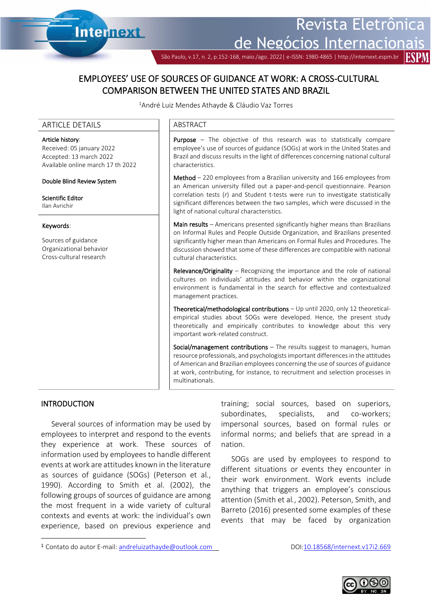São Paulo, v.17, n. 2, p.152-168, maio./ago. 2022| e-ISSN: 1980-4865 | http://internext.espm.br

# EMPLOYEES' USE OF SOURCES OF GUIDANCE AT WORK: A CROSS-CULTURAL COMPARISON BETWEEN THE UNITED STATES AND BRAZIL

<sup>1</sup>André Luiz Mendes Athayde & Cláudio Vaz Torres

Ī

### ARTICLE DETAILS **ARTICLE** DETAILS

### Article history:

Received: 05 january 2022 Accepted: 13 march 2022 Available online march 17 th 2022

**Internext** 

#### Double Blind Review System

Scientific Editor Ilan Avrichir

#### Keywords:

Sources of guidance Organizational behavior Cross-cultural research

Purpose – The objective of this research was to statistically compare employee's use of sources of guidance (SOGs) at work in the United States and Brazil and discuss results in the light of differences concerning national cultural characteristics.

Method – 220 employees from a Brazilian university and 166 employees from an American university filled out a paper-and-pencil questionnaire. Pearson correlation tests (*r*) and Student t-tests were run to investigate statistically significant differences between the two samples, which were discussed in the light of national cultural characteristics.

Main results – Americans presented significantly higher means than Brazilians on Informal Rules and People Outside Organization, and Brazilians presented significantly higher mean than Americans on Formal Rules and Procedures. The discussion showed that some of these differences are compatible with national cultural characteristics.

Relevance/Originality – Recognizing the importance and the role of national cultures on individuals' attitudes and behavior within the organizational environment is fundamental in the search for effective and contextualized management practices.

Theoretical/methodological contributions – Up until 2020, only 12 theoreticalempirical studies about SOGs were developed. Hence, the present study theoretically and empirically contributes to knowledge about this very important work-related construct.

Social/management contributions - The results suggest to managers, human resource professionals, and psychologists important differences in the attitudes of American and Brazilian employees concerning the use of sources of guidance at work, contributing, for instance, to recruitment and selection processes in multinationals.

### INTRODUCTION

Several sources of information may be used by employees to interpret and respond to the events they experience at work. These sources of information used by employees to handle different events at work are attitudes known in the literature as sources of guidance (SOGs) (Peterson et al*.*, 1990). According to Smith et al. (2002), the following groups of sources of guidance are among the most frequent in a wide variety of cultural contexts and events at work: the individual's own experience, based on previous experience and

training; social sources, based on superiors, subordinates, specialists, and co-workers; impersonal sources, based on formal rules or informal norms; and beliefs that are spread in a nation.

SOGs are used by employees to respond to different situations or events they encounter in their work environment. Work events include anything that triggers an employee's conscious attention (Smith et al*.*, 2002). Peterson, Smith, and Barreto (2016) presented some examples of these events that may be faced by organization



<sup>1</sup> Contato do autor E-mail: [andreluizathayde@outlook.com](mailto:andreluizathayde@outlook.com) DOI:10.18568/internext.v17i2.669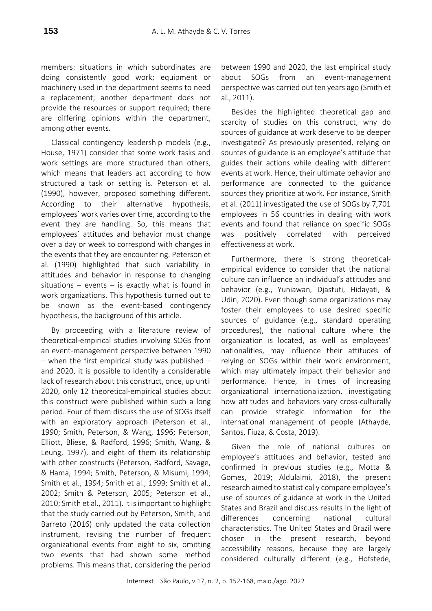members: situations in which subordinates are doing consistently good work; equipment or machinery used in the department seems to need a replacement; another department does not provide the resources or support required; there are differing opinions within the department, among other events.

Classical contingency leadership models (e.g., House, 1971) consider that some work tasks and work settings are more structured than others, which means that leaders act according to how structured a task or setting is. Peterson et al. (1990), however, proposed something different. According to their alternative hypothesis, employees' work varies over time, according to the event they are handling. So, this means that employees' attitudes and behavior must change over a day or week to correspond with changes in the events that they are encountering. Peterson et al. (1990) highlighted that such variability in attitudes and behavior in response to changing situations – events – is exactly what is found in work organizations. This hypothesis turned out to be known as the event-based contingency hypothesis, the background of this article.

By proceeding with a literature review of theoretical-empirical studies involving SOGs from an event-management perspective between 1990 – when the first empirical study was published – and 2020, it is possible to identify a considerable lack of research about this construct, once, up until 2020, only 12 theoretical-empirical studies about this construct were published within such a long period. Four of them discuss the use of SOGs itself with an exploratory approach (Peterson et al., 1990; Smith, Peterson, & Wang, 1996; Peterson, Elliott, Bliese, & Radford, 1996; Smith, Wang, & Leung, 1997), and eight of them its relationship with other constructs (Peterson, Radford, Savage, & Hama, 1994; Smith, Peterson, & Misumi, 1994; Smith et al., 1994; Smith et al., 1999; Smith et al., 2002; Smith & Peterson, 2005; Peterson et al., 2010; Smith et al., 2011). It is important to highlight that the study carried out by Peterson, Smith, and Barreto (2016) only updated the data collection instrument, revising the number of frequent organizational events from eight to six, omitting two events that had shown some method problems. This means that, considering the period between 1990 and 2020, the last empirical study about SOGs from an event-management perspective was carried out ten years ago (Smith et al., 2011).

Besides the highlighted theoretical gap and scarcity of studies on this construct, why do sources of guidance at work deserve to be deeper investigated? As previously presented, relying on sources of guidance is an employee's attitude that guides their actions while dealing with different events at work. Hence, their ultimate behavior and performance are connected to the guidance sources they prioritize at work. For instance, Smith et al. (2011) investigated the use of SOGs by 7,701 employees in 56 countries in dealing with work events and found that reliance on specific SOGs was positively correlated with perceived effectiveness at work.

Furthermore, there is strong theoreticalempirical evidence to consider that the national culture can influence an individual's attitudes and behavior (e.g., Yuniawan, Djastuti, Hidayati, & Udin, 2020). Even though some organizations may foster their employees to use desired specific sources of guidance (e.g., standard operating procedures), the national culture where the organization is located, as well as employees' nationalities, may influence their attitudes of relying on SOGs within their work environment, which may ultimately impact their behavior and performance. Hence, in times of increasing organizational internationalization, investigating how attitudes and behaviors vary cross-culturally can provide strategic information for the international management of people (Athayde, Santos, Fiuza, & Costa, 2019).

Given the role of national cultures on employee's attitudes and behavior, tested and confirmed in previous studies (e.g., Motta & Gomes, 2019; Aldulaimi, 2018), the present research aimed to statistically compare employee's use of sources of guidance at work in the United States and Brazil and discuss results in the light of differences concerning national cultural characteristics. The United States and Brazil were chosen in the present research, beyond accessibility reasons, because they are largely considered culturally different (e.g., Hofstede,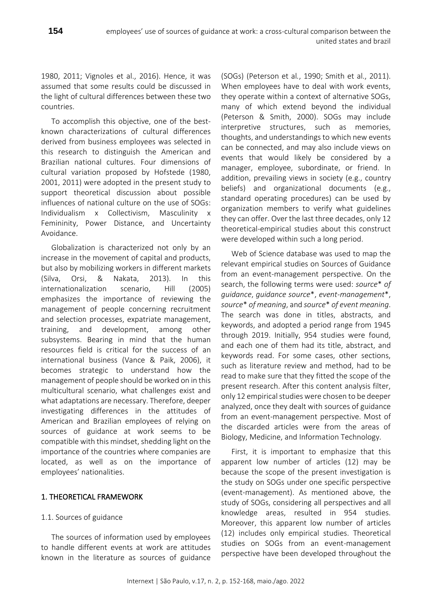1980, 2011; Vignoles et al., 2016). Hence, it was assumed that some results could be discussed in the light of cultural differences between these two countries.

To accomplish this objective, one of the bestknown characterizations of cultural differences derived from business employees was selected in this research to distinguish the American and Brazilian national cultures. Four dimensions of cultural variation proposed by Hofstede (1980, 2001, 2011) were adopted in the present study to support theoretical discussion about possible influences of national culture on the use of SOGs: Individualism x Collectivism, Masculinity x Femininity, Power Distance, and Uncertainty Avoidance.

Globalization is characterized not only by an increase in the movement of capital and products, but also by mobilizing workers in different markets (Silva, Orsi, & Nakata, 2013). In this internationalization scenario, Hill (2005) emphasizes the importance of reviewing the management of people concerning recruitment and selection processes, expatriate management, training, and development, among other subsystems. Bearing in mind that the human resources field is critical for the success of an international business (Vance & Paik, 2006), it becomes strategic to understand how the management of people should be worked on in this multicultural scenario, what challenges exist and what adaptations are necessary. Therefore, deeper investigating differences in the attitudes of American and Brazilian employees of relying on sources of guidance at work seems to be compatible with this mindset, shedding light on the importance of the countries where companies are located, as well as on the importance of employees' nationalities.

# 1. THEORETICAL FRAMEWORK

# 1.1. Sources of guidance

The sources of information used by employees to handle different events at work are attitudes known in the literature as sources of guidance

(SOGs) (Peterson et al*.*, 1990; Smith et al., 2011). When employees have to deal with work events, they operate within a context of alternative SOGs, many of which extend beyond the individual (Peterson & Smith, 2000). SOGs may include interpretive structures, such as memories, thoughts, and understandings to which new events can be connected, and may also include views on events that would likely be considered by a manager, employee, subordinate, or friend. In addition, prevailing views in society (e.g., country beliefs) and organizational documents (e.g., standard operating procedures) can be used by organization members to verify what guidelines they can offer. Over the last three decades, only 12 theoretical-empirical studies about this construct were developed within such a long period.

Web of Science database was used to map the relevant empirical studies on Sources of Guidance from an event-management perspective. On the search, the following terms were used: *source*\* *of guidance*, *guidance source*\*, *event-management*\*, *source*\* *of meaning*, and *source*\* *of event meaning*. The search was done in titles, abstracts, and keywords, and adopted a period range from 1945 through 2019. Initially, 954 studies were found, and each one of them had its title, abstract, and keywords read. For some cases, other sections, such as literature review and method, had to be read to make sure that they fitted the scope of the present research. After this content analysis filter, only 12 empirical studies were chosen to be deeper analyzed, once they dealt with sources of guidance from an event-management perspective. Most of the discarded articles were from the areas of Biology, Medicine, and Information Technology.

First, it is important to emphasize that this apparent low number of articles (12) may be because the scope of the present investigation is the study on SOGs under one specific perspective (event-management). As mentioned above, the study of SOGs, considering all perspectives and all knowledge areas, resulted in 954 studies. Moreover, this apparent low number of articles (12) includes only empirical studies. Theoretical studies on SOGs from an event-management perspective have been developed throughout the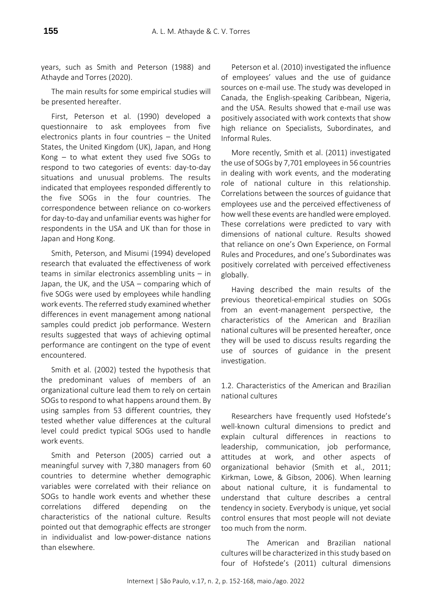years, such as Smith and Peterson (1988) and Athayde and Torres (2020).

The main results for some empirical studies will be presented hereafter.

First, Peterson et al. (1990) developed a questionnaire to ask employees from five electronics plants in four countries – the United States, the United Kingdom (UK), Japan, and Hong Kong – to what extent they used five SOGs to respond to two categories of events: day-to-day situations and unusual problems. The results indicated that employees responded differently to the five SOGs in the four countries. The correspondence between reliance on co-workers for day-to-day and unfamiliar events was higher for respondents in the USA and UK than for those in Japan and Hong Kong.

Smith, Peterson, and Misumi (1994) developed research that evaluated the effectiveness of work teams in similar electronics assembling units – in Japan, the UK, and the USA – comparing which of five SOGs were used by employees while handling work events. The referred study examined whether differences in event management among national samples could predict job performance. Western results suggested that ways of achieving optimal performance are contingent on the type of event encountered.

Smith et al. (2002) tested the hypothesis that the predominant values of members of an organizational culture lead them to rely on certain SOGs to respond to what happens around them. By using samples from 53 different countries, they tested whether value differences at the cultural level could predict typical SOGs used to handle work events.

Smith and Peterson (2005) carried out a meaningful survey with 7,380 managers from 60 countries to determine whether demographic variables were correlated with their reliance on SOGs to handle work events and whether these correlations differed depending on the characteristics of the national culture. Results pointed out that demographic effects are stronger in individualist and low-power-distance nations than elsewhere.

Peterson et al. (2010) investigated the influence of employees' values and the use of guidance sources on e-mail use. The study was developed in Canada, the English-speaking Caribbean, Nigeria, and the USA. Results showed that e-mail use was positively associated with work contexts that show high reliance on Specialists, Subordinates, and Informal Rules.

More recently, Smith et al. (2011) investigated the use of SOGs by 7,701 employees in 56 countries in dealing with work events, and the moderating role of national culture in this relationship. Correlations between the sources of guidance that employees use and the perceived effectiveness of how well these events are handled were employed. These correlations were predicted to vary with dimensions of national culture. Results showed that reliance on one's Own Experience, on Formal Rules and Procedures, and one's Subordinates was positively correlated with perceived effectiveness globally.

Having described the main results of the previous theoretical-empirical studies on SOGs from an event-management perspective, the characteristics of the American and Brazilian national cultures will be presented hereafter, once they will be used to discuss results regarding the use of sources of guidance in the present investigation.

1.2. Characteristics of the American and Brazilian national cultures

Researchers have frequently used Hofstede's well-known cultural dimensions to predict and explain cultural differences in reactions to leadership, communication, job performance, attitudes at work, and other aspects of organizational behavior (Smith et al., 2011; Kirkman, Lowe, & Gibson, 2006). When learning about national culture, it is fundamental to understand that culture describes a central tendency in society. Everybody is unique, yet social control ensures that most people will not deviate too much from the norm.

The American and Brazilian national cultures will be characterized in this study based on four of Hofstede's (2011) cultural dimensions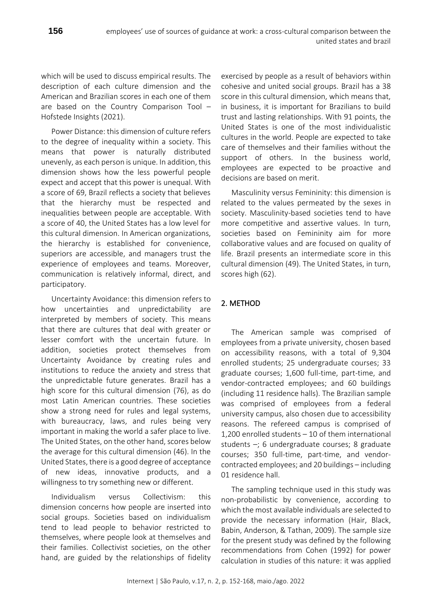which will be used to discuss empirical results. The description of each culture dimension and the American and Brazilian scores in each one of them are based on the Country Comparison Tool – Hofstede Insights (2021).

Power Distance: this dimension of culture refers to the degree of inequality within a society. This means that power is naturally distributed unevenly, as each person is unique. In addition, this dimension shows how the less powerful people expect and accept that this power is unequal. With a score of 69, Brazil reflects a society that believes that the hierarchy must be respected and inequalities between people are acceptable. With a score of 40, the United States has a low level for this cultural dimension. In American organizations, the hierarchy is established for convenience, superiors are accessible, and managers trust the experience of employees and teams. Moreover, communication is relatively informal, direct, and participatory.

Uncertainty Avoidance: this dimension refers to how uncertainties and unpredictability are interpreted by members of society. This means that there are cultures that deal with greater or lesser comfort with the uncertain future. In addition, societies protect themselves from Uncertainty Avoidance by creating rules and institutions to reduce the anxiety and stress that the unpredictable future generates. Brazil has a high score for this cultural dimension (76), as do most Latin American countries. These societies show a strong need for rules and legal systems, with bureaucracy, laws, and rules being very important in making the world a safer place to live. The United States, on the other hand, scores below the average for this cultural dimension (46). In the United States, there is a good degree of acceptance of new ideas, innovative products, and a willingness to try something new or different.

Individualism versus Collectivism: this dimension concerns how people are inserted into social groups. Societies based on individualism tend to lead people to behavior restricted to themselves, where people look at themselves and their families. Collectivist societies, on the other hand, are guided by the relationships of fidelity

exercised by people as a result of behaviors within cohesive and united social groups. Brazil has a 38 score in this cultural dimension, which means that, in business, it is important for Brazilians to build trust and lasting relationships. With 91 points, the United States is one of the most individualistic cultures in the world. People are expected to take care of themselves and their families without the support of others. In the business world, employees are expected to be proactive and decisions are based on merit.

united states and brazil

Masculinity versus Femininity: this dimension is related to the values permeated by the sexes in society. Masculinity-based societies tend to have more competitive and assertive values. In turn, societies based on Femininity aim for more collaborative values and are focused on quality of life. Brazil presents an intermediate score in this cultural dimension (49). The United States, in turn, scores high (62).

# 2. METHOD

The American sample was comprised of employees from a private university, chosen based on accessibility reasons, with a total of 9,304 enrolled students; 25 undergraduate courses; 33 graduate courses; 1,600 full-time, part-time, and vendor-contracted employees; and 60 buildings (including 11 residence halls). The Brazilian sample was comprised of employees from a federal university campus, also chosen due to accessibility reasons. The refereed campus is comprised of 1,200 enrolled students – 10 of them international students –; 6 undergraduate courses; 8 graduate courses; 350 full-time, part-time, and vendorcontracted employees; and 20 buildings – including 01 residence hall.

The sampling technique used in this study was non-probabilistic by convenience, according to which the most available individuals are selected to provide the necessary information (Hair, Black, Babin, Anderson, & Tathan, 2009). The sample size for the present study was defined by the following recommendations from Cohen (1992) for power calculation in studies of this nature: it was applied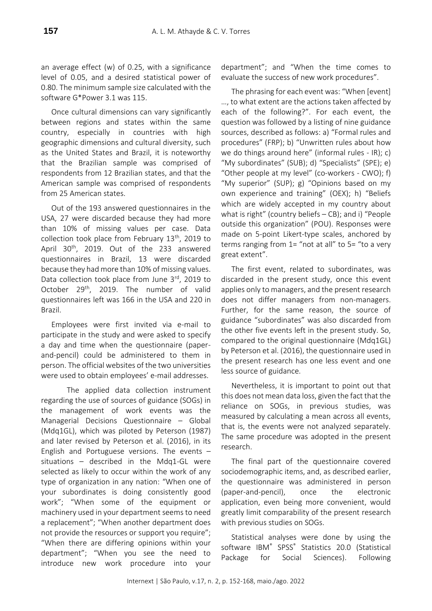an average effect (w) of 0.25, with a significance level of 0.05, and a desired statistical power of 0.80. The minimum sample size calculated with the software G\*Power 3.1 was 115.

Once cultural dimensions can vary significantly between regions and states within the same country, especially in countries with high geographic dimensions and cultural diversity, such as the United States and Brazil, it is noteworthy that the Brazilian sample was comprised of respondents from 12 Brazilian states, and that the American sample was comprised of respondents from 25 American states.

Out of the 193 answered questionnaires in the USA, 27 were discarded because they had more than 10% of missing values per case. Data collection took place from February 13<sup>th</sup>, 2019 to April 30<sup>th</sup>, 2019. Out of the 233 answered questionnaires in Brazil, 13 were discarded because they had more than 10% of missing values. Data collection took place from June 3rd, 2019 to October 29<sup>th</sup>, 2019. The number of valid questionnaires left was 166 in the USA and 220 in Brazil.

Employees were first invited via e-mail to participate in the study and were asked to specify a day and time when the questionnaire (paperand-pencil) could be administered to them in person. The official websites of the two universities were used to obtain employees' e-mail addresses.

The applied data collection instrument regarding the use of sources of guidance (SOGs) in the management of work events was the Managerial Decisions Questionnaire – Global (Mdq1GL), which was piloted by Peterson (1987) and later revised by Peterson et al. (2016), in its English and Portuguese versions. The events – situations – described in the Mdq1-GL were selected as likely to occur within the work of any type of organization in any nation: "When one of your subordinates is doing consistently good work"; "When some of the equipment or machinery used in your department seems to need a replacement"; "When another department does not provide the resources or support you require"; "When there are differing opinions within your department"; "When you see the need to introduce new work procedure into your

department"; and "When the time comes to evaluate the success of new work procedures".

The phrasing for each event was: "When [event] …, to what extent are the actions taken affected by each of the following?". For each event, the question was followed by a listing of nine guidance sources, described as follows: a) "Formal rules and procedures" (FRP); b) "Unwritten rules about how we do things around here" (informal rules - IR); c) "My subordinates" (SUB); d) "Specialists" (SPE); e) "Other people at my level" (co-workers - CWO); f) "My superior" (SUP); g) "Opinions based on my own experience and training" (OEX); h) "Beliefs which are widely accepted in my country about what is right" (country beliefs – CB); and i) "People outside this organization" (POU). Responses were made on 5-point Likert-type scales, anchored by terms ranging from 1= "not at all" to 5= "to a very great extent".

The first event, related to subordinates, was discarded in the present study, once this event applies only to managers, and the present research does not differ managers from non-managers. Further, for the same reason, the source of guidance "subordinates" was also discarded from the other five events left in the present study. So, compared to the original questionnaire (Mdq1GL) by Peterson et al. (2016), the questionnaire used in the present research has one less event and one less source of guidance.

Nevertheless, it is important to point out that this does not mean data loss, given the fact that the reliance on SOGs, in previous studies, was measured by calculating a mean across all events, that is, the events were not analyzed separately. The same procedure was adopted in the present research.

The final part of the questionnaire covered sociodemographic items, and, as described earlier, the questionnaire was administered in person (paper-and-pencil), once the electronic application, even being more convenient, would greatly limit comparability of the present research with previous studies on SOGs.

Statistical analyses were done by using the software IBM® SPSS® Statistics 20.0 (Statistical Package for Social Sciences). Following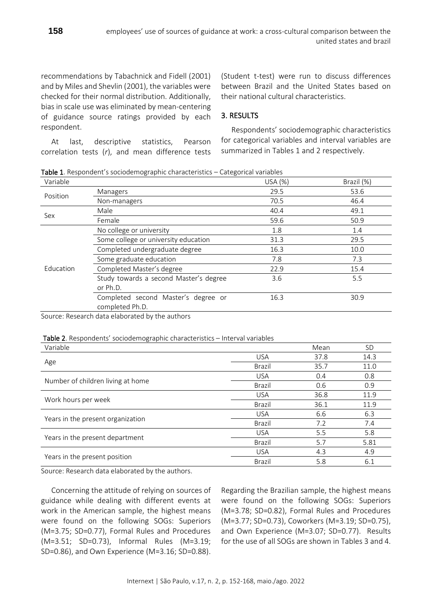recommendations by Tabachnick and Fidell (2001) and by Miles and Shevlin (2001), the variables were checked for their normal distribution. Additionally, bias in scale use was eliminated by mean-centering of guidance source ratings provided by each respondent.

At last, descriptive statistics, Pearson correlation tests (*r*), and mean difference tests

(Student t-test) were run to discuss differences between Brazil and the United States based on their national cultural characteristics.

## 3. RESULTS

Respondents' sociodemographic characteristics for categorical variables and interval variables are summarized in Tables 1 and 2 respectively.

Table 1. Respondent's sociodemographic characteristics – Categorical variables

| Variable  |                                        | USA (%)                                                                   | Brazil (%) |
|-----------|----------------------------------------|---------------------------------------------------------------------------|------------|
| Position  | Managers                               | 29.5                                                                      | 53.6       |
|           | Non-managers                           | 70.5<br>40.4<br>59.6<br>1.8<br>31.3<br>16.3<br>7.8<br>22.9<br>3.6<br>16.3 | 46.4       |
| Sex       | Male                                   |                                                                           | 49.1       |
|           | Female                                 |                                                                           | 50.9       |
|           | No college or university               |                                                                           | 1.4        |
|           | Some college or university education   |                                                                           | 29.5       |
|           | Completed undergraduate degree         |                                                                           | 10.0       |
|           | Some graduate education                |                                                                           | 7.3        |
| Education | Completed Master's degree              |                                                                           | 15.4       |
|           | Study towards a second Master's degree |                                                                           | 5.5        |
|           | or Ph.D.                               |                                                                           |            |
|           | Completed second Master's degree or    |                                                                           | 30.9       |
|           | completed Ph.D.                        |                                                                           |            |

Source: Research data elaborated by the authors

### Table 2. Respondents' sociodemographic characteristics – Interval variables

| Variable                          |                                                                                                                                                                                                                | Mean | SD   |
|-----------------------------------|----------------------------------------------------------------------------------------------------------------------------------------------------------------------------------------------------------------|------|------|
|                                   | <b>USA</b>                                                                                                                                                                                                     | 37.8 | 14.3 |
| Age                               | Brazil<br>35.7<br><b>USA</b><br>0.4<br>Brazil<br>0.6<br><b>USA</b><br>36.8<br>36.1<br>Brazil<br><b>USA</b><br>6.6<br>Brazil<br>7.2<br>5.5<br><b>USA</b><br>5.7<br>Brazil<br><b>USA</b><br>4.3<br>Brazil<br>5.8 | 11.0 |      |
|                                   |                                                                                                                                                                                                                |      | 0.8  |
| Number of children living at home |                                                                                                                                                                                                                |      | 0.9  |
|                                   |                                                                                                                                                                                                                |      | 11.9 |
| Work hours per week               |                                                                                                                                                                                                                |      | 11.9 |
| Years in the present organization |                                                                                                                                                                                                                |      | 6.3  |
|                                   |                                                                                                                                                                                                                | 7.4  |      |
|                                   |                                                                                                                                                                                                                | 5.8  |      |
| Years in the present department   |                                                                                                                                                                                                                |      | 5.81 |
|                                   |                                                                                                                                                                                                                |      | 4.9  |
| Years in the present position     |                                                                                                                                                                                                                |      | 6.1  |

Source: Research data elaborated by the authors.

Concerning the attitude of relying on sources of guidance while dealing with different events at work in the American sample, the highest means were found on the following SOGs: Superiors (M=3.75; SD=0.77), Formal Rules and Procedures (M=3.51; SD=0.73), Informal Rules (M=3.19; SD=0.86), and Own Experience (M=3.16; SD=0.88).

Regarding the Brazilian sample, the highest means were found on the following SOGs: Superiors (M=3.78; SD=0.82), Formal Rules and Procedures (M=3.77; SD=0.73), Coworkers (M=3.19; SD=0.75), and Own Experience (M=3.07; SD=0.77). Results for the use of all SOGs are shown in Tables 3 and 4.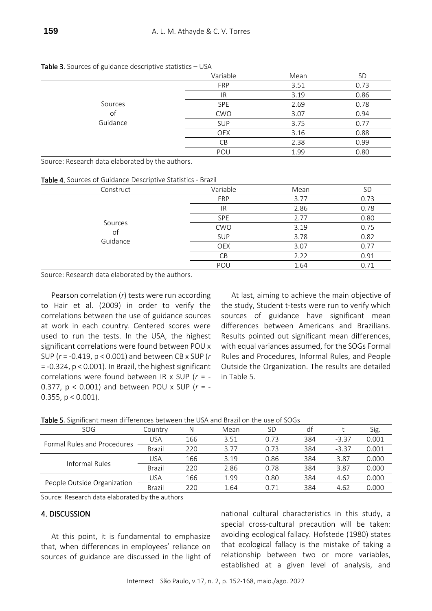| . | ັ        |            |      |           |
|---|----------|------------|------|-----------|
|   |          | Variable   | Mean | <b>SD</b> |
|   |          | <b>FRP</b> | 3.51 | 0.73      |
|   |          | IR         | 3.19 | 0.86      |
|   | Sources  | <b>SPE</b> | 2.69 | 0.78      |
|   | of       | <b>CWO</b> | 3.07 | 0.94      |
|   | Guidance | <b>SUP</b> | 3.75 | 0.77      |
|   |          | <b>OEX</b> | 3.16 | 0.88      |
|   |          | CВ         | 2.38 | 0.99      |
|   |          | POU        | 1.99 | 0.80      |
|   |          |            |      |           |

Table 3. Sources of guidance descriptive statistics – USA

Source: Research data elaborated by the authors.

Table 4. Sources of Guidance Descriptive Statistics - Brazil

| Construct      | Variable   | Mean | <b>SD</b> |
|----------------|------------|------|-----------|
|                | <b>FRP</b> | 3.77 | 0.73      |
|                | IR.        | 2.86 | 0.78      |
|                | <b>SPE</b> | 2.77 | 0.80      |
| Sources        | <b>CWO</b> | 3.19 | 0.75      |
| οt<br>Guidance | <b>SUP</b> | 3.78 | 0.82      |
|                | <b>OEX</b> | 3.07 | 0.77      |
|                | <b>CB</b>  | 2.22 | 0.91      |
|                | POU        | 1.64 | 0.71      |

Source: Research data elaborated by the authors.

Pearson correlation (*r*) tests were run according to Hair et al. (2009) in order to verify the correlations between the use of guidance sources at work in each country. Centered scores were used to run the tests. In the USA, the highest significant correlations were found between POU x SUP (*r* = -0.419, p < 0.001) and between CB x SUP (*r* = -0.324, p < 0.001). In Brazil, the highest significant correlations were found between IR x SUP (*r* = - 0.377, p < 0.001) and between POU x SUP (*r* = - 0.355,  $p < 0.001$ ).

At last, aiming to achieve the main objective of the study, Student t-tests were run to verify which sources of guidance have significant mean differences between Americans and Brazilians. Results pointed out significant mean differences, with equal variances assumed, for the SOGs Formal Rules and Procedures, Informal Rules, and People Outside the Organization. The results are detailed in Table 5.

| SOG                         | Countrv    | Ν   | Mean | SD   | df  |         | Sig.  |
|-----------------------------|------------|-----|------|------|-----|---------|-------|
| Formal Rules and Procedures | <b>USA</b> | 166 | 3.51 | 0.73 | 384 | $-3.37$ | 0.001 |
|                             | Brazil     | 220 | 3.77 | 0.73 | 384 | $-3.37$ | 0.001 |
| Informal Rules              | <b>USA</b> | 166 | 3.19 | 0.86 | 384 | 3.87    | 0.000 |
|                             | Brazil     | 220 | 2.86 | 0.78 | 384 | 3.87    | 0.000 |
|                             | <b>USA</b> | 166 | 1.99 | 0.80 | 384 | 4.62    | 0.000 |
| People Outside Organization | Brazil     | 220 | 1.64 | 0.71 | 384 | 4.62    | 0.000 |

Table 5. Significant mean differences between the USA and Brazil on the use of SOGs

Source: Research data elaborated by the authors

### 4. DISCUSSION

At this point, it is fundamental to emphasize that, when differences in employees' reliance on sources of guidance are discussed in the light of

national cultural characteristics in this study, a special cross-cultural precaution will be taken: avoiding ecological fallacy. Hofstede (1980) states that ecological fallacy is the mistake of taking a relationship between two or more variables, established at a given level of analysis, and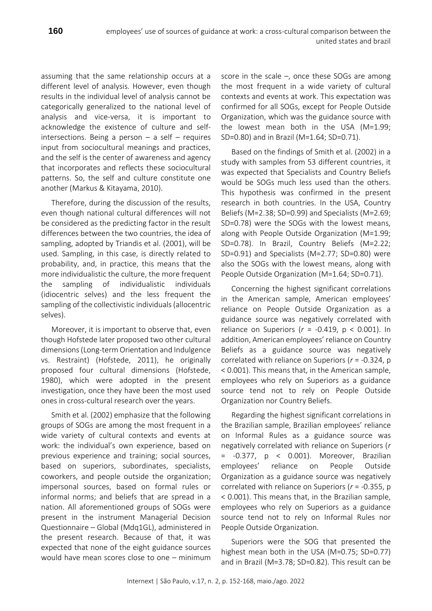assuming that the same relationship occurs at a different level of analysis. However, even though results in the individual level of analysis cannot be categorically generalized to the national level of analysis and vice-versa, it is important to acknowledge the existence of culture and selfintersections. Being a person  $-$  a self  $-$  requires input from sociocultural meanings and practices, and the self is the center of awareness and agency that incorporates and reflects these sociocultural patterns. So, the self and culture constitute one another (Markus & Kitayama, 2010).

Therefore, during the discussion of the results, even though national cultural differences will not be considered as the predicting factor in the result differences between the two countries, the idea of sampling, adopted by Triandis et al. (2001), will be used. Sampling, in this case, is directly related to probability, and, in practice, this means that the more individualistic the culture, the more frequent the sampling of individualistic individuals (idiocentric selves) and the less frequent the sampling of the collectivistic individuals (allocentric selves).

Moreover, it is important to observe that, even though Hofstede later proposed two other cultural dimensions (Long-term Orientation and Indulgence vs. Restraint) (Hofstede, 2011), he originally proposed four cultural dimensions (Hofstede, 1980), which were adopted in the present investigation, once they have been the most used ones in cross-cultural research over the years.

Smith et al. (2002) emphasize that the following groups of SOGs are among the most frequent in a wide variety of cultural contexts and events at work: the individual's own experience, based on previous experience and training; social sources, based on superiors, subordinates, specialists, coworkers, and people outside the organization; impersonal sources, based on formal rules or informal norms; and beliefs that are spread in a nation. All aforementioned groups of SOGs were present in the instrument Managerial Decision Questionnaire – Global (Mdq1GL), administered in the present research. Because of that, it was expected that none of the eight guidance sources would have mean scores close to one – minimum

score in the scale  $-$ , once these SOGs are among the most frequent in a wide variety of cultural contexts and events at work. This expectation was confirmed for all SOGs, except for People Outside Organization, which was the guidance source with the lowest mean both in the USA (M=1.99; SD=0.80) and in Brazil (M=1.64; SD=0.71).

Based on the findings of Smith et al. (2002) in a study with samples from 53 different countries, it was expected that Specialists and Country Beliefs would be SOGs much less used than the others. This hypothesis was confirmed in the present research in both countries. In the USA, Country Beliefs (M=2.38; SD=0.99) and Specialists (M=2.69; SD=0.78) were the SOGs with the lowest means, along with People Outside Organization (M=1.99; SD=0.78). In Brazil, Country Beliefs (M=2.22; SD=0.91) and Specialists (M=2.77; SD=0.80) were also the SOGs with the lowest means, along with People Outside Organization (M=1.64; SD=0.71).

Concerning the highest significant correlations in the American sample, American employees' reliance on People Outside Organization as a guidance source was negatively correlated with reliance on Superiors ( $r = -0.419$ ,  $p < 0.001$ ). In addition, American employees' reliance on Country Beliefs as a guidance source was negatively correlated with reliance on Superiors (*r* = -0.324, p < 0.001). This means that, in the American sample, employees who rely on Superiors as a guidance source tend not to rely on People Outside Organization nor Country Beliefs.

Regarding the highest significant correlations in the Brazilian sample, Brazilian employees' reliance on Informal Rules as a guidance source was negatively correlated with reliance on Superiors (*r*  $= -0.377$ ,  $p < 0.001$ ). Moreover, Brazilian employees' reliance on People Outside Organization as a guidance source was negatively correlated with reliance on Superiors (*r* = -0.355, p < 0.001). This means that, in the Brazilian sample, employees who rely on Superiors as a guidance source tend not to rely on Informal Rules nor People Outside Organization.

Superiors were the SOG that presented the highest mean both in the USA (M=0.75; SD=0.77) and in Brazil (M=3.78; SD=0.82). This result can be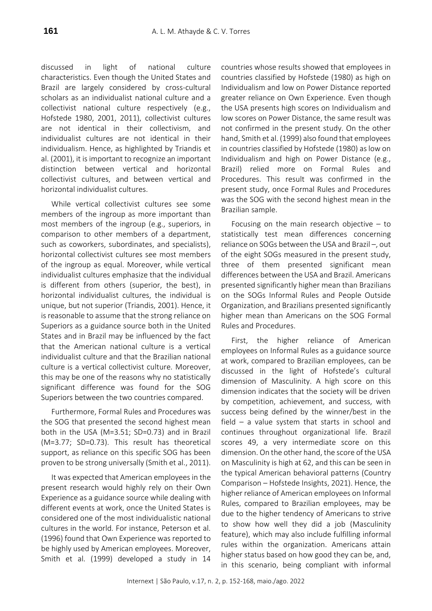discussed in light of national culture characteristics. Even though the United States and Brazil are largely considered by cross-cultural scholars as an individualist national culture and a collectivist national culture respectively (e.g., Hofstede 1980, 2001, 2011), collectivist cultures are not identical in their collectivism, and individualist cultures are not identical in their individualism. Hence, as highlighted by Triandis et al. (2001), it is important to recognize an important distinction between vertical and horizontal collectivist cultures, and between vertical and horizontal individualist cultures.

While vertical collectivist cultures see some members of the ingroup as more important than most members of the ingroup (e.g., superiors, in comparison to other members of a department, such as coworkers, subordinates, and specialists), horizontal collectivist cultures see most members of the ingroup as equal. Moreover, while vertical individualist cultures emphasize that the individual is different from others (superior, the best), in horizontal individualist cultures, the individual is unique, but not superior (Triandis, 2001). Hence, it is reasonable to assume that the strong reliance on Superiors as a guidance source both in the United States and in Brazil may be influenced by the fact that the American national culture is a vertical individualist culture and that the Brazilian national culture is a vertical collectivist culture. Moreover, this may be one of the reasons why no statistically significant difference was found for the SOG Superiors between the two countries compared.

Furthermore, Formal Rules and Procedures was the SOG that presented the second highest mean both in the USA (M=3.51; SD=0.73) and in Brazil (M=3.77; SD=0.73). This result has theoretical support, as reliance on this specific SOG has been proven to be strong universally (Smith et al., 2011).

It was expected that American employees in the present research would highly rely on their Own Experience as a guidance source while dealing with different events at work, once the United States is considered one of the most individualistic national cultures in the world. For instance, Peterson et al. (1996) found that Own Experience was reported to be highly used by American employees. Moreover, Smith et al. (1999) developed a study in 14

countries whose results showed that employees in countries classified by Hofstede (1980) as high on Individualism and low on Power Distance reported greater reliance on Own Experience. Even though the USA presents high scores on Individualism and low scores on Power Distance, the same result was not confirmed in the present study. On the other hand, Smith et al. (1999) also found that employees in countries classified by Hofstede (1980) as low on Individualism and high on Power Distance (e.g., Brazil) relied more on Formal Rules and Procedures. This result was confirmed in the present study, once Formal Rules and Procedures was the SOG with the second highest mean in the Brazilian sample.

Focusing on the main research objective  $-$  to statistically test mean differences concerning reliance on SOGs between the USA and Brazil –, out of the eight SOGs measured in the present study, three of them presented significant mean differences between the USA and Brazil. Americans presented significantly higher mean than Brazilians on the SOGs Informal Rules and People Outside Organization, and Brazilians presented significantly higher mean than Americans on the SOG Formal Rules and Procedures.

First, the higher reliance of American employees on Informal Rules as a guidance source at work, compared to Brazilian employees, can be discussed in the light of Hofstede's cultural dimension of Masculinity. A high score on this dimension indicates that the society will be driven by competition, achievement, and success, with success being defined by the winner/best in the field – a value system that starts in school and continues throughout organizational life. Brazil scores 49, a very intermediate score on this dimension. On the other hand, the score of the USA on Masculinity is high at 62, and this can be seen in the typical American behavioral patterns (Country Comparison – Hofstede Insights, 2021). Hence, the higher reliance of American employees on Informal Rules, compared to Brazilian employees, may be due to the higher tendency of Americans to strive to show how well they did a job (Masculinity feature), which may also include fulfilling informal rules within the organization. Americans attain higher status based on how good they can be, and, in this scenario, being compliant with informal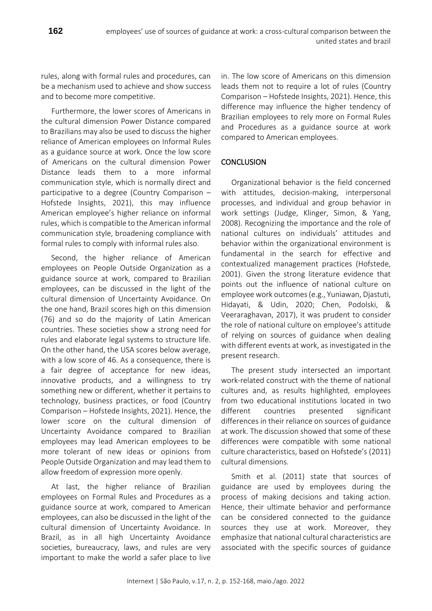rules, along with formal rules and procedures, can be a mechanism used to achieve and show success and to become more competitive.

Furthermore, the lower scores of Americans in the cultural dimension Power Distance compared to Brazilians may also be used to discuss the higher reliance of American employees on Informal Rules as a guidance source at work. Once the low score of Americans on the cultural dimension Power Distance leads them to a more informal communication style, which is normally direct and participative to a degree (Country Comparison – Hofstede Insights, 2021), this may influence American employee's higher reliance on informal rules, which is compatible to the American informal communication style, broadening compliance with formal rules to comply with informal rules also.

Second, the higher reliance of American employees on People Outside Organization as a guidance source at work, compared to Brazilian employees, can be discussed in the light of the cultural dimension of Uncertainty Avoidance. On the one hand, Brazil scores high on this dimension (76) and so do the majority of Latin American countries. These societies show a strong need for rules and elaborate legal systems to structure life. On the other hand, the USA scores below average, with a low score of 46. As a consequence, there is a fair degree of acceptance for new ideas, innovative products, and a willingness to try something new or different, whether it pertains to technology, business practices, or food (Country Comparison – Hofstede Insights, 2021). Hence, the lower score on the cultural dimension of Uncertainty Avoidance compared to Brazilian employees may lead American employees to be more tolerant of new ideas or opinions from People Outside Organization and may lead them to allow freedom of expression more openly.

At last, the higher reliance of Brazilian employees on Formal Rules and Procedures as a guidance source at work, compared to American employees, can also be discussed in the light of the cultural dimension of Uncertainty Avoidance. In Brazil, as in all high Uncertainty Avoidance societies, bureaucracy, laws, and rules are very important to make the world a safer place to live

in. The low score of Americans on this dimension leads them not to require a lot of rules (Country Comparison – Hofstede Insights, 2021). Hence, this difference may influence the higher tendency of Brazilian employees to rely more on Formal Rules and Procedures as a guidance source at work compared to American employees.

# **CONCLUSION**

Organizational behavior is the field concerned with attitudes, decision-making, interpersonal processes, and individual and group behavior in work settings (Judge, Klinger, Simon, & Yang, 2008). Recognizing the importance and the role of national cultures on individuals' attitudes and behavior within the organizational environment is fundamental in the search for effective and contextualized management practices (Hofstede, 2001). Given the strong literature evidence that points out the influence of national culture on employee work outcomes (e.g., Yuniawan, Djastuti, Hidayati, & Udin, 2020; Chen, Podolski, & Veeraraghavan, 2017), it was prudent to consider the role of national culture on employee's attitude of relying on sources of guidance when dealing with different events at work, as investigated in the present research.

The present study intersected an important work-related construct with the theme of national cultures and, as results highlighted, employees from two educational institutions located in two different countries presented significant differences in their reliance on sources of guidance at work. The discussion showed that some of these differences were compatible with some national culture characteristics, based on Hofstede's (2011) cultural dimensions.

Smith et al. (2011) state that sources of guidance are used by employees during the process of making decisions and taking action. Hence, their ultimate behavior and performance can be considered connected to the guidance sources they use at work. Moreover, they emphasize that national cultural characteristics are associated with the specific sources of guidance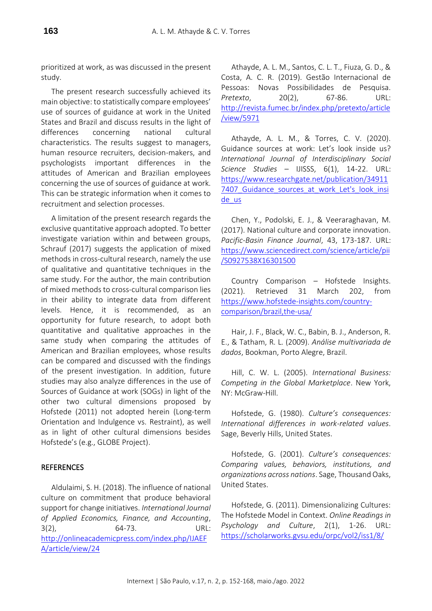prioritized at work, as was discussed in the present study.

The present research successfully achieved its main objective: to statistically compare employees' use of sources of guidance at work in the United States and Brazil and discuss results in the light of differences concerning national cultural characteristics. The results suggest to managers, human resource recruiters, decision-makers, and psychologists important differences in the attitudes of American and Brazilian employees concerning the use of sources of guidance at work. This can be strategic information when it comes to recruitment and selection processes.

A limitation of the present research regards the exclusive quantitative approach adopted. To better investigate variation within and between groups, Schrauf (2017) suggests the application of mixed methods in cross-cultural research, namely the use of qualitative and quantitative techniques in the same study. For the author, the main contribution of mixed methods to cross-cultural comparison lies in their ability to integrate data from different levels. Hence, it is recommended, as an opportunity for future research, to adopt both quantitative and qualitative approaches in the same study when comparing the attitudes of American and Brazilian employees, whose results can be compared and discussed with the findings of the present investigation. In addition, future studies may also analyze differences in the use of Sources of Guidance at work (SOGs) in light of the other two cultural dimensions proposed by Hofstede (2011) not adopted herein (Long-term Orientation and Indulgence vs. Restraint), as well as in light of other cultural dimensions besides Hofstede's (e.g., GLOBE Project).

# **REFERENCES**

Aldulaimi, S. H. (2018). The influence of national culture on commitment that produce behavioral support for change initiatives. *International Journal of Applied Economics, Finance, and Accounting*, 3(2), 64-73. URL: [http://onlineacademicpress.com/index.php/IJAEF](http://onlineacademicpress.com/index.php/IJAEFA/article/view/24) [A/article/view/24](http://onlineacademicpress.com/index.php/IJAEFA/article/view/24)

Athayde, A. L. M., Santos, C. L. T., Fiuza, G. D., & Costa, A. C. R. (2019). Gestão Internacional de Pessoas: Novas Possibilidades de Pesquisa. *Pretexto*, 20(2), 67-86. URL: [http://revista.fumec.br/index.php/pretexto/article](http://revista.fumec.br/index.php/pretexto/article/view/5971) [/view/5971](http://revista.fumec.br/index.php/pretexto/article/view/5971)

Athayde, A. L. M., & Torres, C. V. (2020). Guidance sources at work: Let's look inside us? *International Journal of Interdisciplinary Social Science Studies* – IJISSS, 6(1), 14-22. URL: [https://www.researchgate.net/publication/34911](https://www.researchgate.net/publication/349117407_Guidance_sources_at_work_Let) 7407 Guidance sources at work Let's look insi [de\\_us](https://www.researchgate.net/publication/349117407_Guidance_sources_at_work_Let)

Chen, Y., Podolski, E. J., & Veeraraghavan, M. (2017). National culture and corporate innovation. *Pacific-Basin Finance Journal*, 43, 173-187. URL: [https://www.sciencedirect.com/science/article/pii](https://www.sciencedirect.com/science/article/pii/S0927538X16301500) [/S0927538X16301500](https://www.sciencedirect.com/science/article/pii/S0927538X16301500)

Country Comparison – Hofstede Insights. (2021). Retrieved 31 March 202, from [https://www.hofstede-insights.com/country](https://www.hofstede-insights.com/country-comparison/brazil,the-usa/)[comparison/brazil,the-usa/](https://www.hofstede-insights.com/country-comparison/brazil,the-usa/)

Hair, J. F., Black, W. C., Babin, B. J., Anderson, R. E., & Tatham, R. L. (2009). *Análise multivariada de dados*, Bookman, Porto Alegre, Brazil.

Hill, C. W. L. (2005). *International Business: Competing in the Global Marketplace*. New York, NY: McGraw-Hill.

Hofstede, G. (1980). *Culture's consequences: International differences in work-related values*. Sage, Beverly Hills, United States.

Hofstede, G. (2001). *Culture's consequences: Comparing values, behaviors, institutions, and organizations across nations*. Sage, Thousand Oaks, United States.

Hofstede, G. (2011). Dimensionalizing Cultures: The Hofstede Model in Context. *Online Readings in Psychology and Culture*, 2(1), 1-26. URL: <https://scholarworks.gvsu.edu/orpc/vol2/iss1/8/>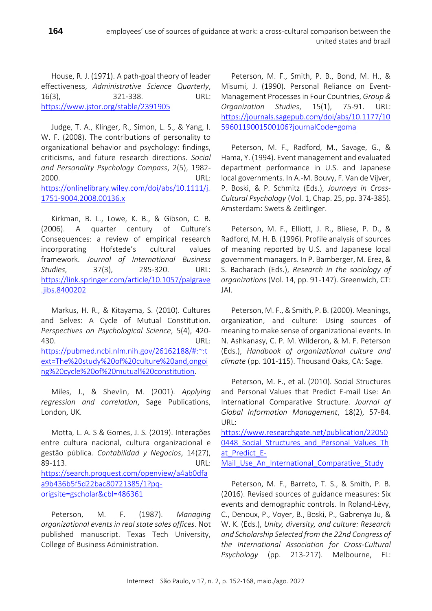House, R. J. (1971). A path-goal theory of leader effectiveness, *Administrative Science Quarterly*, 16(3), 321-338. URL: <https://www.jstor.org/stable/2391905>

Judge, T. A., Klinger, R., Simon, L. S., & Yang, I. W. F. (2008). The contributions of personality to organizational behavior and psychology: findings, criticisms, and future research directions. *Social and Personality Psychology Compass*, 2(5), 1982- 2000. URL: [https://onlinelibrary.wiley.com/doi/abs/10.1111/j.](https://onlinelibrary.wiley.com/doi/abs/10.1111/j.1751-9004.2008.00136.x) [1751-9004.2008.00136.x](https://onlinelibrary.wiley.com/doi/abs/10.1111/j.1751-9004.2008.00136.x)

Kirkman, B. L., Lowe, K. B., & Gibson, C. B. (2006). A quarter century of Culture's Consequences: a review of empirical research incorporating Hofstede's cultural values framework. *Journal of International Business Studies*, 37(3), 285-320. URL: [https://link.springer.com/article/10.1057/palgrave](https://link.springer.com/article/10.1057/palgrave.jibs.8400202) [.jibs.8400202](https://link.springer.com/article/10.1057/palgrave.jibs.8400202)

Markus, H. R., & Kitayama, S. (2010). Cultures and Selves: A Cycle of Mutual Constitution. *Perspectives on Psychological Science*, 5(4), 420- 430. URL: [https://pubmed.ncbi.nlm.nih.gov/26162188/#:~:t](https://pubmed.ncbi.nlm.nih.gov/26162188/#:~:text=The%20study%20of%20culture%20and,ongoing%20cycle%20of%20mutual%20constitution) [ext=The%20study%20of%20culture%20and,ongoi](https://pubmed.ncbi.nlm.nih.gov/26162188/#:~:text=The%20study%20of%20culture%20and,ongoing%20cycle%20of%20mutual%20constitution) [ng%20cycle%20of%20mutual%20constitution.](https://pubmed.ncbi.nlm.nih.gov/26162188/#:~:text=The%20study%20of%20culture%20and,ongoing%20cycle%20of%20mutual%20constitution)

Miles, J., & Shevlin, M. (2001). *Applying regression and correlation*, Sage Publications, London, UK.

Motta, L. A. S & Gomes, J. S. (2019). Interações entre cultura nacional, cultura organizacional e gestão pública. *Contabilidad y Negocios*, 14(27), 89-113. URL: [https://search.proquest.com/openview/a4ab0dfa](https://search.proquest.com/openview/a4ab0dfaa9b436b5f5d22bac80721385/1?pq-origsite=gscholar&cbl=486361) [a9b436b5f5d22bac80721385/1?pq](https://search.proquest.com/openview/a4ab0dfaa9b436b5f5d22bac80721385/1?pq-origsite=gscholar&cbl=486361)[origsite=gscholar&cbl=486361](https://search.proquest.com/openview/a4ab0dfaa9b436b5f5d22bac80721385/1?pq-origsite=gscholar&cbl=486361)

Peterson, M. F. (1987). *Managing organizational events in real state sales offices*. Not published manuscript. Texas Tech University, College of Business Administration.

Peterson, M. F., Smith, P. B., Bond, M. H., & Misumi, J. (1990). Personal Reliance on Event-Management Processes in Four Countries, *Group & Organization Studies*, 15(1), 75-91. URL: [https://journals.sagepub.com/doi/abs/10.1177/10](https://journals.sagepub.com/doi/abs/10.1177/105960119001500106?journalCode=goma) [5960119001500106?journalCode=goma](https://journals.sagepub.com/doi/abs/10.1177/105960119001500106?journalCode=goma)

united states and brazil

Peterson, M. F., Radford, M., Savage, G., & Hama, Y. (1994). Event management and evaluated department performance in U.S. and Japanese local governments. In A.-M. Bouvy, F. Van de Vijver, P. Boski, & P. Schmitz (Eds.), *Journeys in Cross-Cultural Psychology* (Vol. 1, Chap. 25, pp. 374-385). Amsterdam: Swets & Zeitlinger.

Peterson, M. F., Elliott, J. R., Bliese, P. D., & Radford, M. H. B. (1996). Profile analysis of sources of meaning reported by U.S. and Japanese local government managers. In P. Bamberger, M. Erez, & S. Bacharach (Eds.), *Research in the sociology of organizations* (Vol. 14, pp. 91-147). Greenwich, CT: JAI.

Peterson, M. F., & Smith, P. B. (2000). Meanings, organization, and culture: Using sources of meaning to make sense of organizational events. In N. Ashkanasy, C. P. M. Wilderon, & M. F. Peterson (Eds.), *Handbook of organizational culture and climate* (pp. 101-115). Thousand Oaks, CA: Sage.

Peterson, M. F., et al. (2010). Social Structures and Personal Values that Predict E-mail Use: An International Comparative Structure. *Journal of Global Information Management*, 18(2), 57-84. URL:

[https://www.researchgate.net/publication/22050](https://www.researchgate.net/publication/220500448_Social_Structures_and_Personal_Values_That_Predict_E-Mail_Use_An_International_Comparative_Study) 0448 Social Structures and Personal Values Th at Predict E-Mail Use An International Comparative Study

Peterson, M. F., Barreto, T. S., & Smith, P. B. (2016). Revised sources of guidance measures: Six events and demographic controls. In Roland-Lévy, C., Denoux, P., Voyer, B., Boski, P., Gabrenya Ju, & W. K. (Eds.), *Unity, diversity, and culture: Research and Scholarship Selected from the 22nd Congress of the International Association for Cross-Cultural Psychology* (pp. 213-217). Melbourne, FL: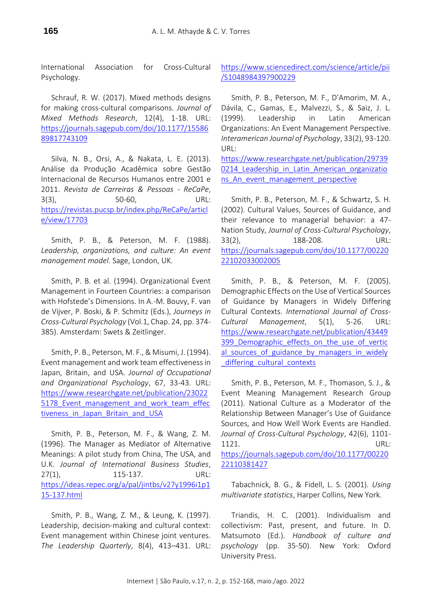International Association for Cross-Cultural Psychology.

Schrauf, R. W. (2017). Mixed methods designs for making cross-cultural comparisons. *Journal of Mixed Methods Research*, 12(4), 1-18. URL: [https://journals.sagepub.com/doi/10.1177/15586](https://journals.sagepub.com/doi/10.1177/1558689817743109) [89817743109](https://journals.sagepub.com/doi/10.1177/1558689817743109)

Silva, N. B., Orsi, A., & Nakata, L. E. (2013). Análise da Produção Acadêmica sobre Gestão Internacional de Recursos Humanos entre 2001 e 2011. *Revista de Carreiras & Pessoas - ReCaPe*, 3(3), 50-60, URL: [https://revistas.pucsp.br/index.php/ReCaPe/articl](https://revistas.pucsp.br/index.php/ReCaPe/article/view/17703) [e/view/17703](https://revistas.pucsp.br/index.php/ReCaPe/article/view/17703)

Smith, P. B., & Peterson, M. F. (1988). *Leadership, organizations, and culture: An event management model*. Sage, London, UK.

Smith, P. B. et al. (1994). Organizational Event Management in Fourteen Countries: a comparison with Hofstede's Dimensions. In A.-M. Bouvy, F. van de Vijver, P. Boski, & P. Schmitz (Eds.), *Journeys in Cross-Cultural Psychology* (Vol.1, Chap. 24, pp. 374- 385). Amsterdam: Swets & Zeitlinger.

Smith, P. B., Peterson, M. F., & Misumi, J. (1994). Event management and work team effectiveness in Japan, Britain, and USA. *Journal of Occupational and Organizational Psychology*, 67, 33-43. URL: [https://www.researchgate.net/publication/23022](https://www.researchgate.net/publication/230225178_Event_management_and_work_team_effectiveness_in_Japan_Britain_and_USA) 5178 Event management and work team effec [tiveness\\_in\\_Japan\\_Britain\\_and\\_USA](https://www.researchgate.net/publication/230225178_Event_management_and_work_team_effectiveness_in_Japan_Britain_and_USA)

Smith, P. B., Peterson, M. F., & Wang, Z. M. (1996). The Manager as Mediator of Alternative Meanings: A pilot study from China, The USA, and U.K. *Journal of International Business Studies*, 27(1), 115-137. URL: [https://ideas.repec.org/a/pal/jintbs/v27y1996i1p1](https://ideas.repec.org/a/pal/jintbs/v27y1996i1p115-137.html) [15-137.html](https://ideas.repec.org/a/pal/jintbs/v27y1996i1p115-137.html)

Smith, P. B., Wang, Z. M., & Leung, K. (1997). Leadership, decision-making and cultural context: Event management within Chinese joint ventures. *The Leadership Quarterly*, 8(4), 413–431. URL: [https://www.sciencedirect.com/science/article/pii](https://www.sciencedirect.com/science/article/pii/S1048984397900229) [/S1048984397900229](https://www.sciencedirect.com/science/article/pii/S1048984397900229)

Smith, P. B., Peterson, M. F., D'Amorim, M. A., Dávila, C., Gamas, E., Malvezzi, S., & Saiz, J. L. (1999). Leadership in Latin American Organizations: An Event Management Perspective. *Interamerican Journal of Psychology*, 33(2), 93-120. URL:

[https://www.researchgate.net/publication/29739](https://www.researchgate.net/publication/297390214_Leadership_in_Latin_American_organizations_An_event_management_perspective) 0214 Leadership in Latin American organizatio [ns\\_An\\_event\\_management\\_perspective](https://www.researchgate.net/publication/297390214_Leadership_in_Latin_American_organizations_An_event_management_perspective)

Smith, P. B., Peterson, M. F., & Schwartz, S. H. (2002). Cultural Values, Sources of Guidance, and their relevance to managerial behavior: a 47- Nation Study, *Journal of Cross-Cultural Psychology*, 33(2), 188-208. URL: [https://journals.sagepub.com/doi/10.1177/00220](https://journals.sagepub.com/doi/10.1177/0022022102033002005) [22102033002005](https://journals.sagepub.com/doi/10.1177/0022022102033002005)

Smith, P. B., & Peterson, M. F. (2005). Demographic Effects on the Use of Vertical Sources of Guidance by Managers in Widely Differing Cultural Contexts. *International Journal of Cross-Cultural Management*, 5(1), 5-26. URL: [https://www.researchgate.net/publication/43449](https://www.researchgate.net/publication/43449399_Demographic_effects_on_the_use_of_vertical_sources_of_guidance_by_managers_in_widely_differing_cultural_contexts) 399 Demographic effects on the use of vertic al sources of guidance by managers in widely differing cultural contexts

Smith, P. B., Peterson, M. F., Thomason, S. J., & Event Meaning Management Research Group (2011). National Culture as a Moderator of the Relationship Between Manager's Use of Guidance Sources, and How Well Work Events are Handled. *Journal of Cross-Cultural Psychology*, 42(6), 1101- 1121. URL: [https://journals.sagepub.com/doi/10.1177/00220](https://journals.sagepub.com/doi/10.1177/0022022110381427) [22110381427](https://journals.sagepub.com/doi/10.1177/0022022110381427)

Tabachnick, B. G., & Fidell, L. S. (2001). *Using multivariate statistics*, Harper Collins, New York.

Triandis, H. C. (2001). Individualism and collectivism: Past, present, and future. In D. Matsumoto (Ed.). *Handbook of culture and psychology* (pp. 35-50). New York: Oxford University Press.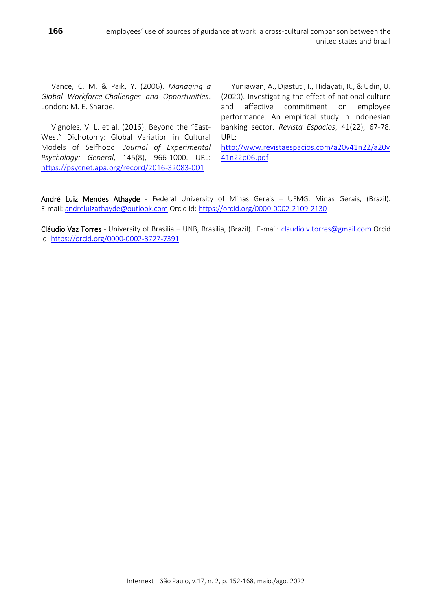Vance, C. M. & Paik, Y. (2006). *Managing a Global Workforce-Challenges and Opportunities*. London: M. E. Sharpe.

Vignoles, V. L. et al. (2016). Beyond the "East-West" Dichotomy: Global Variation in Cultural Models of Selfhood. *Journal of Experimental Psychology: General*, 145(8), 966-1000. URL: <https://psycnet.apa.org/record/2016-32083-001>

Yuniawan, A., Djastuti, I., Hidayati, R., & Udin, U. (2020). Investigating the effect of national culture and affective commitment on employee performance: An empirical study in Indonesian banking sector. *Revista Espacios*, 41(22), 67-78. URL:

[http://www.revistaespacios.com/a20v41n22/a20v](http://www.revistaespacios.com/a20v41n22/a20v41n22p06.pdf) [41n22p06.pdf](http://www.revistaespacios.com/a20v41n22/a20v41n22p06.pdf)

André Luiz Mendes Athayde - Federal University of Minas Gerais - UFMG, Minas Gerais, (Brazil). E-mail: [andreluizathayde@outlook.com](mailto:andreluizathayde@outlook.com) Orcid id: <https://orcid.org/0000-0002-2109-2130>

Cláudio Vaz Torres - University of Brasilia – UNB, Brasilia, (Brazil). E-mail: [claudio.v.torres@gmail.com](mailto:claudio.v.torres@gmail.com) Orcid id: <https://orcid.org/0000-0002-3727-7391>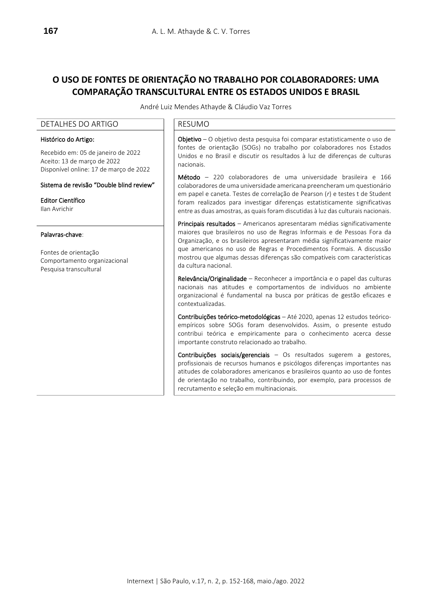# **O USO DE FONTES DE ORIENTAÇÃO NO TRABALHO POR COLABORADORES: UMA COMPARAÇÃO TRANSCULTURAL ENTRE OS ESTADOS UNIDOS E BRASIL**

André Luiz Mendes Athayde & Cláudio Vaz Torres

### DETALHES DO ARTIGO **RESUMO**

### Histórico do Artigo:

Recebido em: 05 de janeiro de 2022 Aceito: 13 de março de 2022 Disponível online: 17 de março de 2022

### Sistema de revisão "Double blind review"

Editor Científico Ilan Avrichir

#### Palavras-chave:

Fontes de orientação Comportamento organizacional Pesquisa transcultural

Objetivo – O objetivo desta pesquisa foi comparar estatisticamente o uso de fontes de orientação (SOGs) no trabalho por colaboradores nos Estados Unidos e no Brasil e discutir os resultados à luz de diferenças de culturas nacionais.

Método – 220 colaboradores de uma universidade brasileira e 166 colaboradores de uma universidade americana preencheram um questionário em papel e caneta. Testes de correlação de Pearson (*r*) e testes t de Student foram realizados para investigar diferenças estatisticamente significativas entre as duas amostras, as quais foram discutidas à luz das culturais nacionais.

Principais resultados - Americanos apresentaram médias significativamente maiores que brasileiros no uso de Regras Informais e de Pessoas Fora da Organização, e os brasileiros apresentaram média significativamente maior que americanos no uso de Regras e Procedimentos Formais. A discussão mostrou que algumas dessas diferenças são compatíveis com características da cultura nacional.

Relevância/Originalidade – Reconhecer a importância e o papel das culturas nacionais nas atitudes e comportamentos de indivíduos no ambiente organizacional é fundamental na busca por práticas de gestão eficazes e contextualizadas.

Contribuições teórico-metodológicas – Até 2020, apenas 12 estudos teóricoempíricos sobre SOGs foram desenvolvidos. Assim, o presente estudo contribui teórica e empiricamente para o conhecimento acerca desse importante construto relacionado ao trabalho.

Contribuições sociais/gerenciais – Os resultados sugerem a gestores, profissionais de recursos humanos e psicólogos diferenças importantes nas atitudes de colaboradores americanos e brasileiros quanto ao uso de fontes de orientação no trabalho, contribuindo, por exemplo, para processos de recrutamento e seleção em multinacionais.